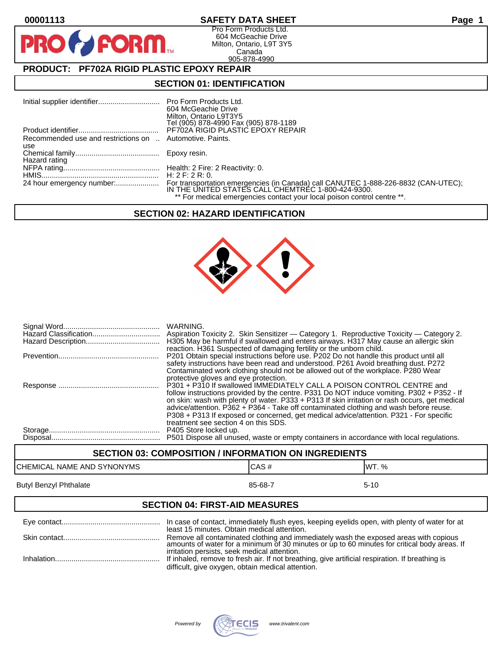PR

## **00001113 SAFETY DATA SHEET Page 1**

Pro Form Products Ltd. 604 McGeachie Drive Milton, Ontario, L9T 3Y5 Canada 905-878-4990

# **PRODUCT: PF702A RIGID PLASTIC EPOXY REPAIR**

**FORM.** 

### **SECTION 01: IDENTIFICATION**

|                                                          | Pro Form Products Ltd.                                                                                                                   |
|----------------------------------------------------------|------------------------------------------------------------------------------------------------------------------------------------------|
|                                                          | 604 McGeachie Drive                                                                                                                      |
|                                                          | Milton, Ontario L9T3Y5                                                                                                                   |
|                                                          | Tel (905) 878-4990 Fax (905) 878-1189                                                                                                    |
|                                                          | PF702A RIGID PLASTIC EPOXY REPAIR                                                                                                        |
| Recommended use and restrictions on  Automotive. Paints. |                                                                                                                                          |
| use                                                      |                                                                                                                                          |
|                                                          | Epoxy resin.                                                                                                                             |
| Hazard rating                                            |                                                                                                                                          |
|                                                          |                                                                                                                                          |
|                                                          | H: $2$ F: $2$ R: 0.                                                                                                                      |
| 24 hour emergency number:                                | For transportation emergencies (in Canada) call CANUTEC 1-888-226-8832 (CAN-UTEC);<br>IN THE UNITED STATES CALL CHEMTREC 1-800-424-9300. |
|                                                          |                                                                                                                                          |
|                                                          | ** For medical emergencies contact your local poison control centre **.                                                                  |

# **SECTION 02: HAZARD IDENTIFICATION**



| WARNING.<br>Aspiration Toxicity 2. Skin Sensitizer — Category 1. Reproductive Toxicity — Category 2.<br>H305 May be harmful if swallowed and enters airways. H317 May cause an allergic skin<br>reaction. H361 Suspected of damaging fertility or the unborn child.                                                                                                                                                                                                                             |
|-------------------------------------------------------------------------------------------------------------------------------------------------------------------------------------------------------------------------------------------------------------------------------------------------------------------------------------------------------------------------------------------------------------------------------------------------------------------------------------------------|
| P201 Obtain special instructions before use. P202 Do not handle this product until all<br>safety instructions have been read and understood. P261 Avoid breathing dust. P272<br>Contaminated work clothing should not be allowed out of the workplace. P280 Wear<br>protective gloves and eye protection.                                                                                                                                                                                       |
| P301 + P310 If swallowed IMMEDIATELY CALL A POISON CONTROL CENTRE and<br>follow instructions provided by the centre. P331 Do NOT induce vomiting. P302 + P352 - If<br>on skin: wash with plenty of water. P333 + P313 If skin irritation or rash occurs, get medical<br>advice/attention. P362 + P364 - Take off contaminated clothing and wash before reuse.<br>P308 + P313 If exposed or concerned, get medical advice/attention. P321 - For specific<br>treatment see section 4 on this SDS. |
| P405 Store locked up.<br>P501 Dispose all unused, waste or empty containers in accordance with local regulations.                                                                                                                                                                                                                                                                                                                                                                               |

# **SECTION 03: COMPOSITION / INFORMATION ON INGREDIENTS** CHEMICAL NAME AND SYNONYMS CHEMICAL NAME AND SYNONYMS Butyl Benzyl Phthalate 85-68-7 5-10

#### **SECTION 04: FIRST-AID MEASURES**

| least 15 minutes. Obtain medical attention.                                                                                                                                                          |
|------------------------------------------------------------------------------------------------------------------------------------------------------------------------------------------------------|
| Remove all contaminated clothing and immediately wash the exposed areas with copious<br>amounts of water for a minimum of 30 minutes or up to 60 minutes for critical body areas. If                 |
| irritation persists, seek medical attention.<br>If inhaled, remove to fresh air. If not breathing, give artificial respiration. If breathing is<br>difficult, give oxygen, obtain medical attention. |

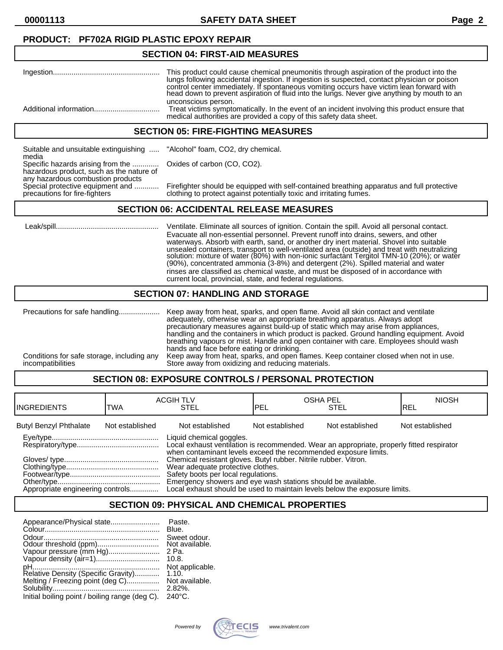**00001113 SAFETY DATA SHEET Page 2**

## **PRODUCT: PF702A RIGID PLASTIC EPOXY REPAIR**

#### **SECTION 04: FIRST-AID MEASURES**

| This product could cause chemical pneumonitis through aspiration of the product into the<br>lungs following accidental ingestion. If ingestion is suspected, contact physician or poison<br>control center immediately. If spontaneous vomiting occurs have victim lean forward with<br>head down to prevent aspiration of fluid into the lungs. Never give anything by mouth to an |
|-------------------------------------------------------------------------------------------------------------------------------------------------------------------------------------------------------------------------------------------------------------------------------------------------------------------------------------------------------------------------------------|
| unconscious person.<br>Treat victims symptomatically. In the event of an incident involving this product ensure that<br>medical authorities are provided a copy of this safety data sheet.                                                                                                                                                                                          |

#### **SECTION 05: FIRE-FIGHTING MEASURES**

Suitable and unsuitable extinguishing ..... "Alcohol" foam, CO2, dry chemical. media Specific hazards arising from the ............. Oxides of carbon (CO, CO2). hazardous product, such as the nature of any hazardous combustion products<br>Special protective equipment and ............

Special protective equipment and ............ Firefighter should be equipped with self-contained breathing apparatus and full protective<br>precautions for fire-fighters clothing to protect against potentially toxic and irrit clothing to protect against potentially toxic and irritating fumes.

#### **SECTION 06: ACCIDENTAL RELEASE MEASURES**

 Leak/spill.................................................. Ventilate. Eliminate all sources of ignition. Contain the spill. Avoid all personal contact. Evacuate all non-essential personnel. Prevent runoff into drains, sewers, and other waterways. Absorb with earth, sand, or another dry inert material. Shovel into suitable unsealed containers, transport to well-ventilated area (outside) and treat with neutralizing solution: mixture of water (80%) with non-ionic surfactànt Tergitol TMN-10 (20%); or water (90%), concentrated ammonia (3-8%) and detergent (2%). Spilled material and water rinses are classified as chemical waste, and must be disposed of in accordance with current local, provincial, state, and federal regulations.

#### **SECTION 07: HANDLING AND STORAGE**

|                                                                 | adequately, otherwise wear an appropriate breathing apparatus. Always adopt<br>precautionary measures against build-up of static which may arise from appliances,<br>handling and the containers in which product is packed. Ground handling equipment. Avoid<br>breathing vapours or mist. Handle and open container with care. Employees should wash |
|-----------------------------------------------------------------|--------------------------------------------------------------------------------------------------------------------------------------------------------------------------------------------------------------------------------------------------------------------------------------------------------------------------------------------------------|
| Conditions for safe storage, including any<br>incompatibilities | hands and face before eating or drinking.<br>Keep away from heat, sparks, and open flames. Keep container closed when not in use.<br>Store away from oxidizing and reducing materials.                                                                                                                                                                 |

# **SECTION 08: EXPOSURE CONTROLS / PERSONAL PROTECTION**

| <b>IINGREDIENTS</b>              | TWA             | <b>ACGIH TLV</b><br>STEL                                                                                                                                                                                                                                     | PEL             | <b>OSHA PEL</b><br><b>STEL</b> | <b>NIOSH</b><br>IREL |
|----------------------------------|-----------------|--------------------------------------------------------------------------------------------------------------------------------------------------------------------------------------------------------------------------------------------------------------|-----------------|--------------------------------|----------------------|
| <b>Butyl Benzyl Phthalate</b>    | Not established | Not established                                                                                                                                                                                                                                              | Not established | Not established                | Not established      |
|                                  |                 | Liquid chemical goggles.<br>Local exhaust ventilation is recommended. Wear an appropriate, properly fitted respirator<br>when contaminant levels exceed the recommended exposure limits.<br>Chemical resistant gloves. Butyl rubber. Nitrile rubber. Vitron. |                 |                                |                      |
| Appropriate engineering controls |                 | Wear adequate protective clothes.<br>Safety boots per local regulations.<br>Emergency showers and eye wash stations should be available.<br>Local exhaust should be used to maintain levels below the exposure limits.                                       |                 |                                |                      |

# **SECTION 09: PHYSICAL AND CHEMICAL PROPERTIES**

| Appearance/Physical state                      | Paste.           |
|------------------------------------------------|------------------|
|                                                | Blue.            |
|                                                | Sweet odour.     |
|                                                | Not available.   |
| Vapour pressure (mm Hg)                        | 2 Pa.            |
|                                                | 10.8.            |
|                                                | Not applicable.  |
| Relative Density (Specific Gravity)            | 1.10.            |
| Melting / Freezing point (deg C)               | Not available.   |
|                                                | $2.82\%$         |
| Initial boiling point / boiling range (deg C). | $240^{\circ}$ C. |

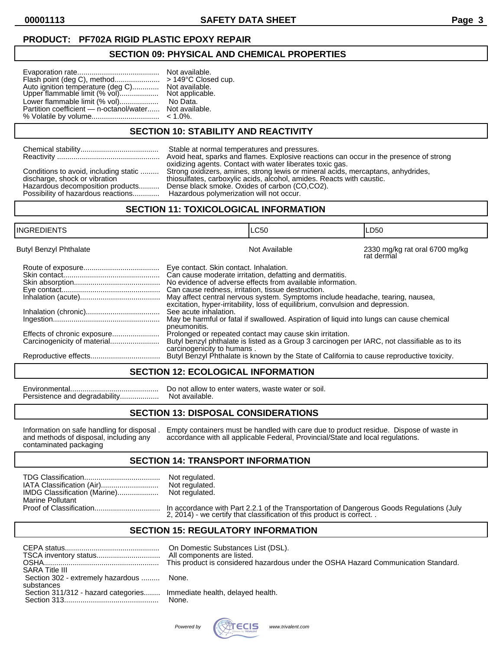# **PRODUCT: PF702A RIGID PLASTIC EPOXY REPAIR**

# **SECTION 09: PHYSICAL AND CHEMICAL PROPERTIES**

| Flash point (deg C), method<br>> 149°C Closed cup.<br>Auto ignition température (deg C)<br>Upper flammable limit (% vol)<br>Lower flammable limit (% vol)<br>Partition coefficient - n-octanol/water<br>% Volatile by volume | Not available.<br>Not applicable.<br>No Data.<br>Not available.<br>$< 1.0\%$ . |
|------------------------------------------------------------------------------------------------------------------------------------------------------------------------------------------------------------------------------|--------------------------------------------------------------------------------|
|------------------------------------------------------------------------------------------------------------------------------------------------------------------------------------------------------------------------------|--------------------------------------------------------------------------------|

**SECTION 10: STABILITY AND REACTIVITY**

| Stable at normal temperatures and pressures.<br>Conditions to avoid, including static<br>discharge, shock or vibration<br>Hazardous decomposition products<br>Possibility of hazardous reactions | Avoid heat, sparks and flames. Explosive reactions can occur in the presence of strong<br>oxidizing agents. Contact with water liberates toxic gas.<br>Strong oxidizers, amines, strong lewis or mineral acids, mercaptans, anhydrides,<br>thiosulfates, carboxylic acids, alcohol, amides. Reacts with caustic.<br>Dense black smoke. Oxides of carbon (CO,CO2).<br>Hazardous polymerization will not occur. |
|--------------------------------------------------------------------------------------------------------------------------------------------------------------------------------------------------|---------------------------------------------------------------------------------------------------------------------------------------------------------------------------------------------------------------------------------------------------------------------------------------------------------------------------------------------------------------------------------------------------------------|
|                                                                                                                                                                                                  |                                                                                                                                                                                                                                                                                                                                                                                                               |

#### **SECTION 11: TOXICOLOGICAL INFORMATION**

| INGREDIENTS                   | <b>LC50</b>                                                                                                                                                                                                                                                                                                                                                                                                                                                                                                                                                                                                                                                                                                                 |  | LD50                                                                                       |
|-------------------------------|-----------------------------------------------------------------------------------------------------------------------------------------------------------------------------------------------------------------------------------------------------------------------------------------------------------------------------------------------------------------------------------------------------------------------------------------------------------------------------------------------------------------------------------------------------------------------------------------------------------------------------------------------------------------------------------------------------------------------------|--|--------------------------------------------------------------------------------------------|
| <b>Butyl Benzyl Phthalate</b> | Not Available                                                                                                                                                                                                                                                                                                                                                                                                                                                                                                                                                                                                                                                                                                               |  | 2330 mg/kg rat oral 6700 mg/kg<br>rat dermal                                               |
|                               | Eye contact. Skin contact. Inhalation.<br>Can cause moderate irritation, defatting and dermatitis.<br>No evidence of adverse effects from available information.<br>Can cause redness, irritation, tissue destruction.<br>May affect central nervous system. Symptoms include headache, tearing, nausea,<br>excitation, hyper-irritability, loss of equilibrium, convulsion and depression.<br>See acute inhalation.<br>May be harmful or fatal if swallowed. Aspiration of liquid into lungs can cause chemical<br>pneumonitis.<br>Prolonged or repeated contact may cause skin irritation.<br>Butyl benzyl phthalate is listed as a Group 3 carcinogen per IARC, not classifiable as to its<br>carcinogenicity to humans. |  | Butyl Benzyl Phthalate is known by the State of California to cause reproductive toxicity. |

#### **SECTION 12: ECOLOGICAL INFORMATION**

Persistence and degradability..................

Environmental........................................... Do not allow to enter waters, waste water or soil.

#### **SECTION 13: DISPOSAL CONSIDERATIONS**

contaminated packaging

Information on safe handling for disposal . Empty containers must be handled with care due to product residue. Dispose of waste in and methods of disposal, including any accordance with all applicable Federal, Provincial/S accordance with all applicable Federal, Provincial/State and local regulations.

#### **SECTION 14: TRANSPORT INFORMATION**

| IATA Classification (Air)<br>IMDG Classification (Marine) | Not regulated.<br>Not regulated.<br>Not regulated. |
|-----------------------------------------------------------|----------------------------------------------------|
| <b>Marine Pollutant</b>                                   |                                                    |
|                                                           |                                                    |

Proof of Classification................................ In accordance with Part 2.2.1 of the Transportation of Dangerous Goods Regulations (July 2, 2014) - we certify that classification of this product is correct. .

# **SECTION 15: REGULATORY INFORMATION**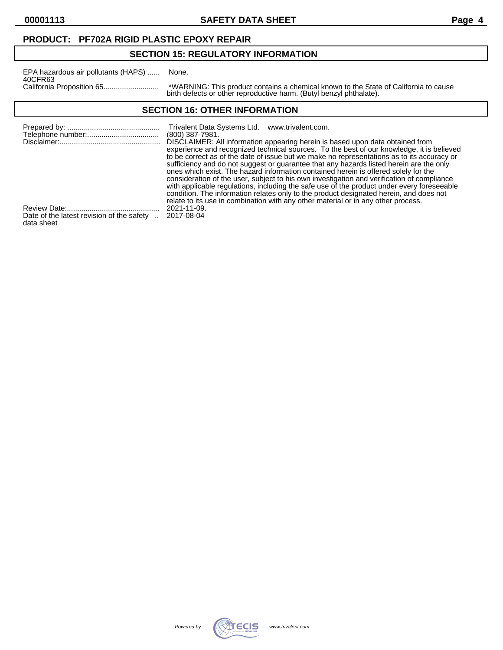data sheet

**00001113 SAFETY DATA SHEET Page 4**

# **PRODUCT: PF702A RIGID PLASTIC EPOXY REPAIR**

# **SECTION 15: REGULATORY INFORMATION**

| EPA hazardous air pollutants (HAPS) | None.             |
|-------------------------------------|-------------------|
| 40CFR63                             |                   |
|                                     | *WARI<br>مام طهنط |

California Proposition 65........................... \*WARNING: This product contains a chemical known to the State of California to cause birth defects or other reproductive harm. (Butyl benzyl phthalate).

# **SECTION 16: OTHER INFORMATION**

|                                                       | Trivalent Data Systems Ltd. www.trivalent.com.<br>$(800)$ 387-7981.<br>DISCLAIMER: All information appearing herein is based upon data obtained from<br>experience and recognized technical sources. To the best of our knowledge, it is believed                                                                                                                                                                                                                                                                                                                  |
|-------------------------------------------------------|--------------------------------------------------------------------------------------------------------------------------------------------------------------------------------------------------------------------------------------------------------------------------------------------------------------------------------------------------------------------------------------------------------------------------------------------------------------------------------------------------------------------------------------------------------------------|
|                                                       | to be correct as of the date of issue but we make no representations as to its accuracy or<br>sufficiency and do not suggest or guarantee that any hazards listed herein are the only<br>ones which exist. The hazard information contained herein is offered solely for the<br>consideration of the user, subject to his own investigation and verification of compliance<br>with applicable regulations, including the safe use of the product under every foreseeable<br>condition. The information relates only to the product designated herein, and does not |
| Date of the latest revision of the safety  2017-08-04 | relate to its use in combination with any other material or in any other process.<br>2021-11-09.                                                                                                                                                                                                                                                                                                                                                                                                                                                                   |

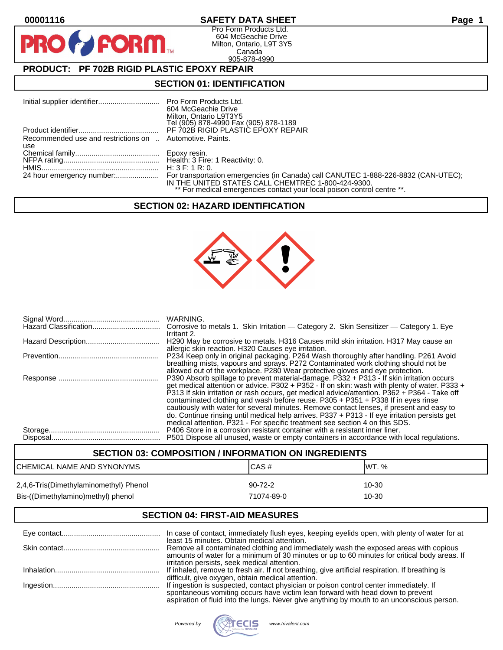**PIR** 

## **00001116 SAFETY DATA SHEET Page 1**

Pro Form Products Ltd. 604 McGeachie Drive Milton, Ontario, L9T 3Y5 Canada 905-878-4990

# **PRODUCT: PF 702B RIGID PLASTIC EPOXY REPAIR**

**FORM.** 

## **SECTION 01: IDENTIFICATION**

|                                                          | 604 McGeachie Drive<br>Milton, Ontario L9T3Y5<br>Tel (905) 878-4990 Fax (905) 878-1189                                        |
|----------------------------------------------------------|-------------------------------------------------------------------------------------------------------------------------------|
|                                                          |                                                                                                                               |
| Recommended use and restrictions on  Automotive. Paints. |                                                                                                                               |
| use                                                      |                                                                                                                               |
|                                                          |                                                                                                                               |
|                                                          |                                                                                                                               |
|                                                          | IN THE UNITED STATES CALL CHEMTREC 1-800-424-9300.<br>** For medical emergencies contact your local poison control centre **. |

#### **SECTION 02: HAZARD IDENTIFICATION**



| WARNING.<br>Corrosive to metals 1. Skin Irritation - Category 2. Skin Sensitizer - Category 1. Eye                                                                                                                                                                                                                                                                                                                                                                                                                                                        |
|-----------------------------------------------------------------------------------------------------------------------------------------------------------------------------------------------------------------------------------------------------------------------------------------------------------------------------------------------------------------------------------------------------------------------------------------------------------------------------------------------------------------------------------------------------------|
| Irritant 2.<br>H290 May be corrosive to metals. H316 Causes mild skin irritation. H317 May cause an<br>allergic skin reaction. H320 Causes eye irritation.                                                                                                                                                                                                                                                                                                                                                                                                |
| P234 Keep only in original packaging. P264 Wash thoroughly after handling. P261 Avoid<br>breathing mists, vapours and sprays. P272 Contaminated work clothing should not be                                                                                                                                                                                                                                                                                                                                                                               |
| allowed out of the workplace. P280 Wear protective gloves and eye protection.<br>P390 Absorb spillage to prevent material-damage. P332 + P313 - If skin irritation occurs<br>get medical attention or advice. P302 + P352 - If on skin: wash with plenty of water. P333 +<br>P313 If skin irritation or rash occurs, get medical advice/attention. P362 + P364 - Take off<br>contaminated clothing and wash before reuse. P305 + P351 + P338 If in eyes rinse<br>cautiously with water for several minutes. Remove contact lenses, if present and easy to |
| do. Continue rinsing until medical help arrives. P337 + P313 - If eye irritation persists get<br>medical attention. P321 - For specific treatment see section 4 on this SDS.<br>P406 Store in a corrosion resistant container with a resistant inner liner.<br>P501 Dispose all unused, waste or empty containers in accordance with local regulations.                                                                                                                                                                                                   |

# **SECTION 03: COMPOSITION / INFORMATION ON INGREDIENTS** CHEMICAL NAME AND SYNONYMS CAS A CAS # CAS # WT. % 2,4,6-Tris(Dimethylaminomethyl) Phenol 90-72-2 10-30 Bis-((Dimethylamino)methyl) phenol 71074-89-0 71074-89-0

# **SECTION 04: FIRST-AID MEASURES**

| In case of contact, immediately flush eyes, keeping eyelids open, with plenty of water for at                                                                                                                                       |
|-------------------------------------------------------------------------------------------------------------------------------------------------------------------------------------------------------------------------------------|
| least 15 minutes. Obtain medical attention.<br>Remove all contaminated clothing and immediately wash the exposed areas with copious<br>amounts of water for a minimum of 30 minutes or up to 60 minutes for critical body areas. If |
| irritation persists, seek medical attention.                                                                                                                                                                                        |
| difficult, give oxygen, obtain medical attention.                                                                                                                                                                                   |
|                                                                                                                                                                                                                                     |
| spontaneous vomiting occurs have victim lean forward with head down to prevent<br>aspiration of fluid into the lungs. Never give anything by mouth to an unconscious person.                                                        |

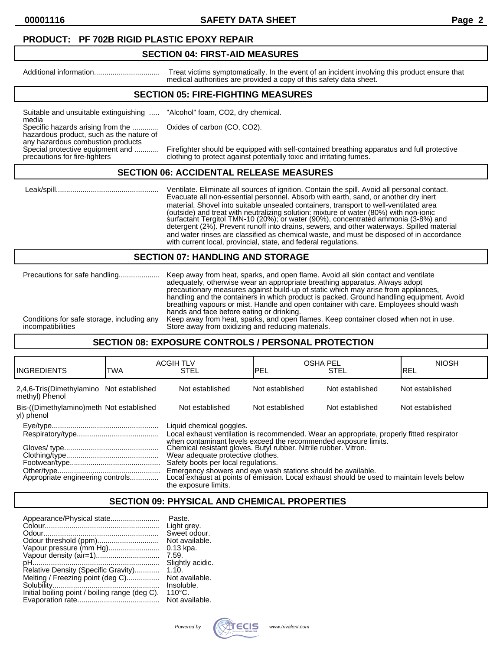**00001116 SAFETY DATA SHEET Page 2**

#### **PRODUCT: PF 702B RIGID PLASTIC EPOXY REPAIR**

#### **SECTION 04: FIRST-AID MEASURES**

Additional information................................ Treat victims symptomatically. In the event of an incident involving this product ensure that medical authorities are provided a copy of this safety data sheet.

### **SECTION 05: FIRE-FIGHTING MEASURES**

Suitable and unsuitable extinguishing ..... "Alcohol" foam, CO2, dry chemical. media

Specific hazards arising from the ............. Oxides of carbon (CO, CO2).

hazardous product, such as the nature of any hazardous combustion products<br>Special protective equipment and ............

Special protective equipment and ............ Firefighter should be equipped with self-contained breathing apparatus and full protective<br>precautions for fire-fighters clothing to protect against potentially toxic and irrit clothing to protect against potentially toxic and irritating fumes.

#### **SECTION 06: ACCIDENTAL RELEASE MEASURES**

 Leak/spill.................................................. Ventilate. Eliminate all sources of ignition. Contain the spill. Avoid all personal contact. Evacuate all non-essential personnel. Absorb with earth, sand, or another dry inert material. Shovel into suitable unsealed containers, transport to well-ventilated area (outside) and treat with neutralizing solution: mixture of water (80%) with non-ionic surfactant Tergitol TMN-10 (20%); or water (90%), concentrated ammonia (3-8%) and detergent (2%). Prevent runoff into drains, sewers, and other waterways. Spilled material and water rinses are classified as chemical waste, and must be disposed of in accordance with current local, provincial, state, and federal regulations.

#### **SECTION 07: HANDLING AND STORAGE**

| Precautions for safe handling              | Keep away from heat, sparks, and open flame. Avoid all skin contact and ventilate<br>adequately, otherwise wear an appropriate breathing apparatus. Always adopt<br>precautionary measures against build-up of static which may arise from appliances,<br>handling and the containers in which product is packed. Ground handling equipment. Avoid<br>breathing vapours or mist. Handle and open container with care. Employees should wash<br>hands and face before eating or drinking. |
|--------------------------------------------|------------------------------------------------------------------------------------------------------------------------------------------------------------------------------------------------------------------------------------------------------------------------------------------------------------------------------------------------------------------------------------------------------------------------------------------------------------------------------------------|
| Conditions for safe storage, including any | Keep away from heat, sparks, and open flames. Keep container closed when not in use.                                                                                                                                                                                                                                                                                                                                                                                                     |
| incompatibilities                          | Store away from oxidizing and reducing materials.                                                                                                                                                                                                                                                                                                                                                                                                                                        |

#### **SECTION 08: EXPOSURE CONTROLS / PERSONAL PROTECTION**

| IINGREDIENTS                                               | TWA | <b>ACGIH TLV</b><br><b>STEL</b>                                                                                                                                                                                                                                                                                                                                                                                                                                                                        | <b>OSHA PEL</b><br>IPEL | <b>STEL</b>     | <b>NIOSH</b><br>IREL |
|------------------------------------------------------------|-----|--------------------------------------------------------------------------------------------------------------------------------------------------------------------------------------------------------------------------------------------------------------------------------------------------------------------------------------------------------------------------------------------------------------------------------------------------------------------------------------------------------|-------------------------|-----------------|----------------------|
| 2,4,6-Tris(Dimethylamino Not established<br>methyl) Phenol |     | Not established                                                                                                                                                                                                                                                                                                                                                                                                                                                                                        | Not established         | Not established | Not established      |
| Bis-((Dimethylamino)meth Not established<br>yl) phenol     |     | Not established                                                                                                                                                                                                                                                                                                                                                                                                                                                                                        | Not established         | Not established | Not established      |
|                                                            |     | Liquid chemical goggles.<br>Local exhaust ventilation is recommended. Wear an appropriate, properly fitted respirator<br>when contaminant levels exceed the recommended exposure limits.<br>Chemical resistant gloves. Butyl rubber. Nitrile rubber. Vitron.<br>Wear adequate protective clothes.<br>Safety boots per local regulations.<br>Emergency showers and eye wash stations should be available.<br>Local exhaust at points of emission. Local exhaust should be used to maintain levels below |                         |                 |                      |
|                                                            |     | the exposure limits.                                                                                                                                                                                                                                                                                                                                                                                                                                                                                   |                         |                 |                      |

# **SECTION 09: PHYSICAL AND CHEMICAL PROPERTIES**

| Appearance/Physical state                      | Paste.           |
|------------------------------------------------|------------------|
|                                                | Light grey.      |
|                                                | Sweet odour.     |
|                                                | Not available.   |
| Vapour pressure (mm Hg)                        | $0.13$ kpa.      |
| Vapour density (air=1)                         | 7.59.            |
|                                                | Slightly acidic. |
| Relative Density (Specific Gravity)            | 1.10.            |
| Melting / Freezing point (deg C)               | Not available.   |
|                                                | Insoluble.       |
| Initial boiling point / boiling range (deg C). | $110^{\circ}$ C. |
|                                                | Not available.   |

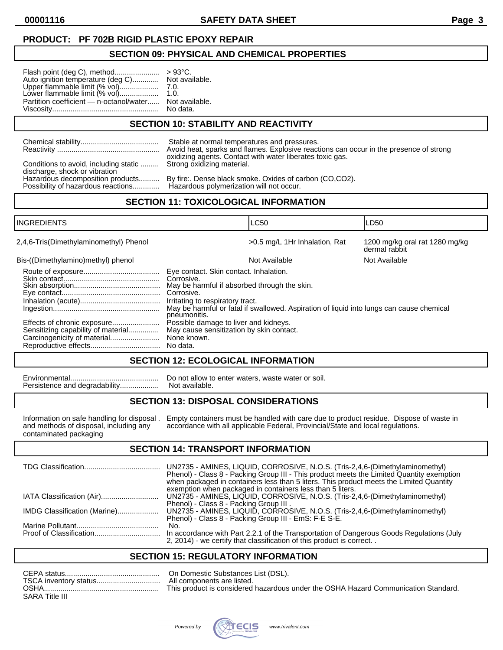# **PRODUCT: PF 702B RIGID PLASTIC EPOXY REPAIR**

### **SECTION 09: PHYSICAL AND CHEMICAL PROPERTIES**

| Auto ignition temperature (deg C) Not available.                                |          |
|---------------------------------------------------------------------------------|----------|
| Upper flammable limit (% vol)     7.0.<br>Lower flammable limit (% vol)    1.0. |          |
| Partition coefficient — n-octanol/water Not available.                          | No data. |

# **SECTION 10: STABILITY AND REACTIVITY**

|                                                                                                    | Stable at normal temperatures and pressures.                                           |
|----------------------------------------------------------------------------------------------------|----------------------------------------------------------------------------------------|
|                                                                                                    | Avoid heat, sparks and flames. Explosive reactions can occur in the presence of strong |
| Conditions to avoid, including static  Strong oxidizing material.<br>discharge, shock or vibration | oxidizing agents. Contact with water liberates toxic gas.                              |
| Hazardous decomposition products                                                                   | By fire:. Dense black smoke. Oxides of carbon (CO,CO2).                                |
| Possibility of hazardous reactions                                                                 | Hazardous polymerization will not occur.                                               |

# **SECTION 11: TOXICOLOGICAL INFORMATION**

| <b>INGREDIENTS</b>                                                |                                                                                                                                                                        | <b>LC50</b>                                                                              | LD50                                            |
|-------------------------------------------------------------------|------------------------------------------------------------------------------------------------------------------------------------------------------------------------|------------------------------------------------------------------------------------------|-------------------------------------------------|
| 2,4,6-Tris(Dimethylaminomethyl) Phenol                            |                                                                                                                                                                        | >0.5 mg/L 1Hr Inhalation, Rat                                                            | 1200 mg/kg oral rat 1280 mg/kg<br>dermal rabbit |
| Bis-((Dimethylamino)methyl) phenol                                |                                                                                                                                                                        | Not Available                                                                            | Not Available                                   |
|                                                                   | Eye contact. Skin contact. Inhalation.<br>Corrosive.<br>May be harmful if absorbed through the skin.<br>Corrosive.<br>Irritating to respiratory tract.<br>pneumonitis. | May be harmful or fatal if swallowed. Aspiration of liquid into lungs can cause chemical |                                                 |
| Effects of chronic exposure<br>Sensitizing capability of material | Possible damage to liver and kidneys.<br>May cause sensitization by skin contact.<br>None known.<br>No data.                                                           |                                                                                          |                                                 |

# **SECTION 12: ECOLOGICAL INFORMATION**

Persistence and degradability...................

Environmental........................................... Do not allow to enter waters, waste water or soil.

# **SECTION 13: DISPOSAL CONSIDERATIONS**

contaminated packaging

Information on safe handling for disposal . Empty containers must be handled with care due to product residue. Dispose of waste in and methods of disposal, including any accordance with all applicable Federal, Provincial/S and methods of disposal, including and methods of disposal, including accordance with all applicable Federal, Provincial/State and local regulations.

# **SECTION 14: TRANSPORT INFORMATION**

|                              | UN2735 - AMINES, LIQUID, CORROSIVE, N.O.S. (Tris-2,4,6-(Dimethylaminomethyl)<br>Phenol) - Class 8 - Packing Group III - This product meets the Limited Quantity exemption<br>when packaged in containers less than 5 liters. This product meets the Limited Quantity<br>exemption when packaged in containers less than 5 liters. |
|------------------------------|-----------------------------------------------------------------------------------------------------------------------------------------------------------------------------------------------------------------------------------------------------------------------------------------------------------------------------------|
|                              | UN2735 - AMINES, LIQUID, CORROSIVE, N.O.S. (Tris-2,4,6-(Dimethylaminomethyl)<br>Phenol) - Class 8 - Packing Group III.                                                                                                                                                                                                            |
| IMDG Classification (Marine) | UN2735 - AMINES, LIQUID, CORROSIVE, N.O.S. (Tris-2,4,6-(Dimethylaminomethyl)<br>Phenol) - Class 8 - Packing Group III - EmS: F-E S-E.                                                                                                                                                                                             |
|                              | No.<br>In accordance with Part 2.2.1 of the Transportation of Dangerous Goods Regulations (July                                                                                                                                                                                                                                   |
|                              | 2, 2014) - we certify that classification of this product is correct                                                                                                                                                                                                                                                              |

# **SECTION 15: REGULATORY INFORMATION**

| CEPA status.          | On Domestic Substances List (DSL).                                                 |
|-----------------------|------------------------------------------------------------------------------------|
| TSCA inventory status | All components are listed.                                                         |
| OSHA.                 | This product is considered hazardous under the OSHA Hazard Communication Standard. |
| SARA Title III        |                                                                                    |